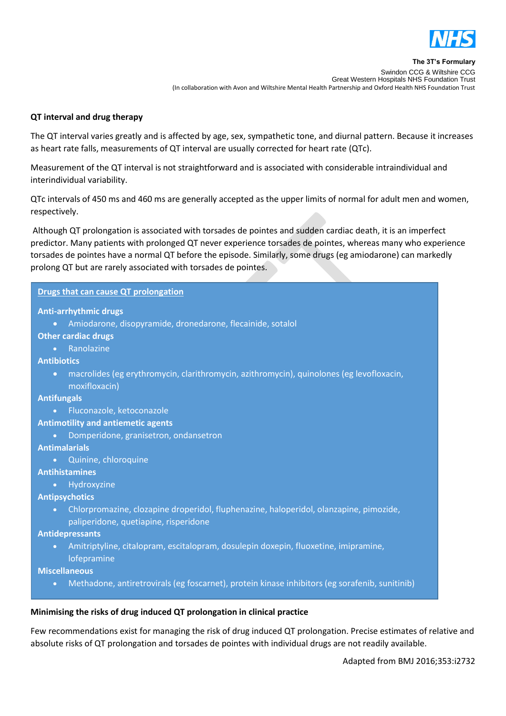

# **QT interval and drug therapy**

The QT interval varies greatly and is affected by age, sex, sympathetic tone, and diurnal pattern. Because it increases as heart rate falls, measurements of QT interval are usually corrected for heart rate (QTc).

Measurement of the QT interval is not straightforward and is associated with considerable intraindividual and interindividual variability.

QTc intervals of 450 ms and 460 ms are generally accepted as the upper limits of normal for adult men and women, respectively.

Although QT prolongation is associated with torsades de pointes and sudden cardiac death, it is an imperfect predictor. Many patients with prolonged QT never experience torsades de pointes, whereas many who experience torsades de pointes have a normal QT before the episode. Similarly, some drugs (eg amiodarone) can markedly prolong QT but are rarely associated with torsades de pointes.

## **Drugs that can cause QT prolongation**

#### **Anti-arrhythmic drugs**

Amiodarone, disopyramide, dronedarone, flecainide, sotalol

#### **Other cardiac drugs**

**•** Ranolazine

## **Antibiotics**

 macrolides (eg erythromycin, clarithromycin, azithromycin), quinolones (eg levofloxacin, moxifloxacin)

#### **Antifungals**

**•** Fluconazole, ketoconazole

#### **Antimotility and antiemetic agents**

Domperidone, granisetron, ondansetron

## **Antimalarials**

Quinine, chloroquine

## **Antihistamines**

**•** Hydroxyzine

## **Antipsychotics**

 Chlorpromazine, clozapine droperidol, fluphenazine, haloperidol, olanzapine, pimozide, paliperidone, quetiapine, risperidone

#### **Antidepressants**

 Amitriptyline, citalopram, escitalopram, dosulepin doxepin, fluoxetine, imipramine, lofepramine

## **Miscellaneous**

Methadone, antiretrovirals (eg foscarnet), protein kinase inhibitors (eg sorafenib, sunitinib)

## **Minimising the risks of drug induced QT prolongation in clinical practice**

Few recommendations exist for managing the risk of drug induced QT prolongation. Precise estimates of relative and absolute risks of QT prolongation and torsades de pointes with individual drugs are not readily available.